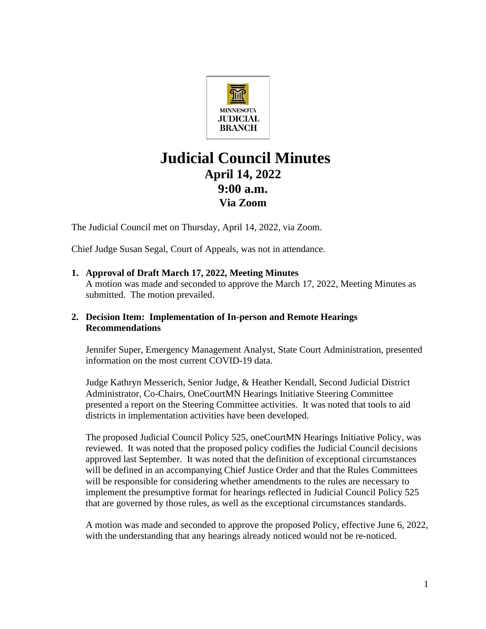

# **Judicial Council Minutes April 14, 2022 9:00 a.m. Via Zoom**

The Judicial Council met on Thursday, April 14, 2022, via Zoom.

Chief Judge Susan Segal, Court of Appeals, was not in attendance.

**1. Approval of Draft March 17, 2022, Meeting Minutes** A motion was made and seconded to approve the March 17, 2022, Meeting Minutes as submitted. The motion prevailed.

# **2. Decision Item: Implementation of In-person and Remote Hearings Recommendations**

Jennifer Super, Emergency Management Analyst, State Court Administration, presented information on the most current COVID-19 data.

Judge Kathryn Messerich, Senior Judge, & Heather Kendall, Second Judicial District Administrator, Co-Chairs, OneCourtMN Hearings Initiative Steering Committee presented a report on the Steering Committee activities. It was noted that tools to aid districts in implementation activities have been developed.

The proposed Judicial Council Policy 525, oneCourtMN Hearings Initiative Policy, was reviewed. It was noted that the proposed policy codifies the Judicial Council decisions approved last September. It was noted that the definition of exceptional circumstances will be defined in an accompanying Chief Justice Order and that the Rules Committees will be responsible for considering whether amendments to the rules are necessary to implement the presumptive format for hearings reflected in Judicial Council Policy 525 that are governed by those rules, as well as the exceptional circumstances standards.

A motion was made and seconded to approve the proposed Policy, effective June 6, 2022, with the understanding that any hearings already noticed would not be re-noticed.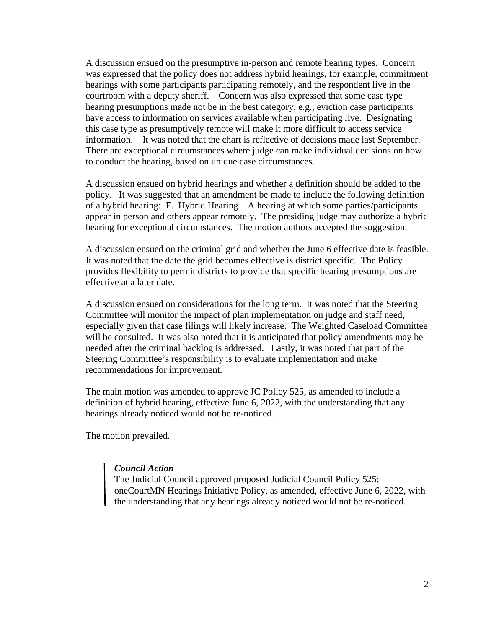A discussion ensued on the presumptive in-person and remote hearing types. Concern was expressed that the policy does not address hybrid hearings, for example, commitment hearings with some participants participating remotely, and the respondent live in the courtroom with a deputy sheriff. Concern was also expressed that some case type hearing presumptions made not be in the best category, e.g., eviction case participants have access to information on services available when participating live. Designating this case type as presumptively remote will make it more difficult to access service information. It was noted that the chart is reflective of decisions made last September. There are exceptional circumstances where judge can make individual decisions on how to conduct the hearing, based on unique case circumstances.

A discussion ensued on hybrid hearings and whether a definition should be added to the policy. It was suggested that an amendment be made to include the following definition of a hybrid hearing: F. Hybrid Hearing – A hearing at which some parties/participants appear in person and others appear remotely. The presiding judge may authorize a hybrid hearing for exceptional circumstances. The motion authors accepted the suggestion.

A discussion ensued on the criminal grid and whether the June 6 effective date is feasible. It was noted that the date the grid becomes effective is district specific. The Policy provides flexibility to permit districts to provide that specific hearing presumptions are effective at a later date.

A discussion ensued on considerations for the long term. It was noted that the Steering Committee will monitor the impact of plan implementation on judge and staff need, especially given that case filings will likely increase. The Weighted Caseload Committee will be consulted. It was also noted that it is anticipated that policy amendments may be needed after the criminal backlog is addressed. Lastly, it was noted that part of the Steering Committee's responsibility is to evaluate implementation and make recommendations for improvement.

The main motion was amended to approve JC Policy 525, as amended to include a definition of hybrid hearing, effective June 6, 2022, with the understanding that any hearings already noticed would not be re-noticed.

The motion prevailed.

#### *Council Action*

The Judicial Council approved proposed Judicial Council Policy 525; oneCourtMN Hearings Initiative Policy, as amended, effective June 6, 2022, with the understanding that any hearings already noticed would not be re-noticed.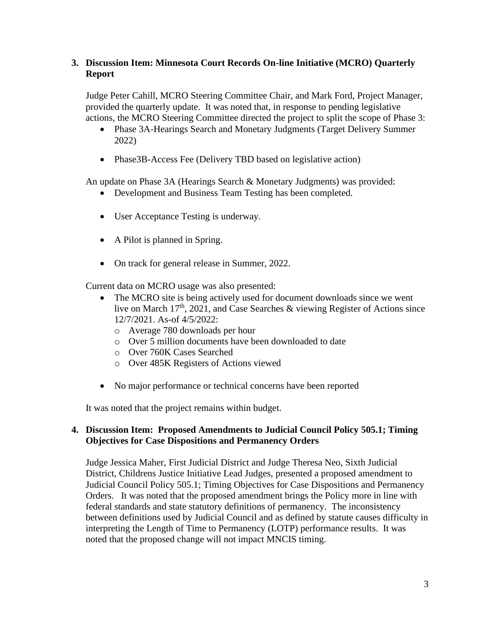### **3. Discussion Item: Minnesota Court Records On-line Initiative (MCRO) Quarterly Report**

Judge Peter Cahill, MCRO Steering Committee Chair, and Mark Ford, Project Manager, provided the quarterly update. It was noted that, in response to pending legislative actions, the MCRO Steering Committee directed the project to split the scope of Phase 3:

- Phase 3A-Hearings Search and Monetary Judgments (Target Delivery Summer 2022)
- Phase3B-Access Fee (Delivery TBD based on legislative action)

An update on Phase 3A (Hearings Search & Monetary Judgments) was provided:

- Development and Business Team Testing has been completed.
- User Acceptance Testing is underway.
- A Pilot is planned in Spring.
- On track for general release in Summer, 2022.

Current data on MCRO usage was also presented:

- The MCRO site is being actively used for document downloads since we went live on March 17<sup>th</sup>, 2021, and Case Searches & viewing Register of Actions since 12/7/2021. As-of 4/5/2022:
	- o Average 780 downloads per hour
	- o Over 5 million documents have been downloaded to date
	- o Over 760K Cases Searched
	- o Over 485K Registers of Actions viewed
- No major performance or technical concerns have been reported

It was noted that the project remains within budget.

#### **4. Discussion Item: Proposed Amendments to Judicial Council Policy 505.1; Timing Objectives for Case Dispositions and Permanency Orders**

Judge Jessica Maher, First Judicial District and Judge Theresa Neo, Sixth Judicial District, Childrens Justice Initiative Lead Judges, presented a proposed amendment to Judicial Council Policy 505.1; Timing Objectives for Case Dispositions and Permanency Orders. It was noted that the proposed amendment brings the Policy more in line with federal standards and state statutory definitions of permanency. The inconsistency between definitions used by Judicial Council and as defined by statute causes difficulty in interpreting the Length of Time to Permanency (LOTP) performance results. It was noted that the proposed change will not impact MNCIS timing.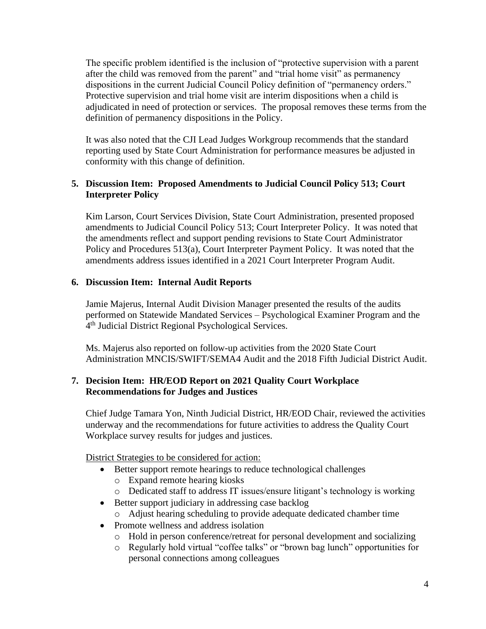The specific problem identified is the inclusion of "protective supervision with a parent after the child was removed from the parent" and "trial home visit" as permanency dispositions in the current Judicial Council Policy definition of "permanency orders." Protective supervision and trial home visit are interim dispositions when a child is adjudicated in need of protection or services. The proposal removes these terms from the definition of permanency dispositions in the Policy.

It was also noted that the CJI Lead Judges Workgroup recommends that the standard reporting used by State Court Administration for performance measures be adjusted in conformity with this change of definition.

# **5. Discussion Item: Proposed Amendments to Judicial Council Policy 513; Court Interpreter Policy**

Kim Larson, Court Services Division, State Court Administration, presented proposed amendments to Judicial Council Policy 513; Court Interpreter Policy. It was noted that the amendments reflect and support pending revisions to State Court Administrator Policy and Procedures 513(a), Court Interpreter Payment Policy. It was noted that the amendments address issues identified in a 2021 Court Interpreter Program Audit.

# **6. Discussion Item: Internal Audit Reports**

Jamie Majerus, Internal Audit Division Manager presented the results of the audits performed on Statewide Mandated Services – Psychological Examiner Program and the 4<sup>th</sup> Judicial District Regional Psychological Services.

Ms. Majerus also reported on follow-up activities from the 2020 State Court Administration MNCIS/SWIFT/SEMA4 Audit and the 2018 Fifth Judicial District Audit.

#### **7. Decision Item: HR/EOD Report on 2021 Quality Court Workplace Recommendations for Judges and Justices**

Chief Judge Tamara Yon, Ninth Judicial District, HR/EOD Chair, reviewed the activities underway and the recommendations for future activities to address the Quality Court Workplace survey results for judges and justices.

District Strategies to be considered for action:

- Better support remote hearings to reduce technological challenges
	- o Expand remote hearing kiosks
	- o Dedicated staff to address IT issues/ensure litigant's technology is working
- Better support judiciary in addressing case backlog
	- o Adjust hearing scheduling to provide adequate dedicated chamber time
- Promote wellness and address isolation
	- o Hold in person conference/retreat for personal development and socializing
	- o Regularly hold virtual "coffee talks" or "brown bag lunch" opportunities for personal connections among colleagues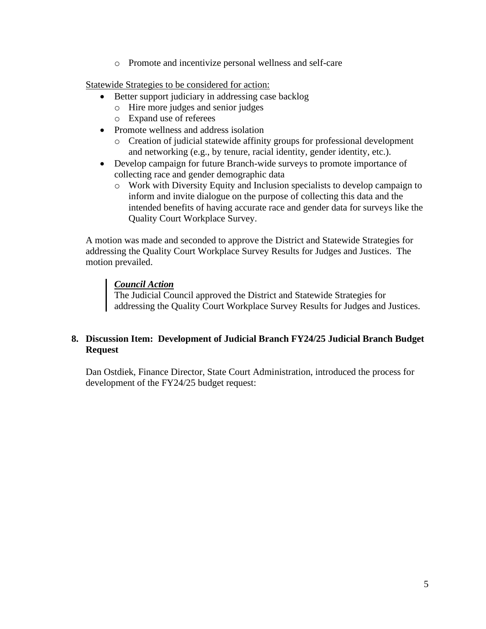o Promote and incentivize personal wellness and self-care

Statewide Strategies to be considered for action:

- Better support judiciary in addressing case backlog
	- o Hire more judges and senior judges
	- o Expand use of referees
- Promote wellness and address isolation
	- o Creation of judicial statewide affinity groups for professional development and networking (e.g., by tenure, racial identity, gender identity, etc.).
- Develop campaign for future Branch-wide surveys to promote importance of collecting race and gender demographic data
	- o Work with Diversity Equity and Inclusion specialists to develop campaign to inform and invite dialogue on the purpose of collecting this data and the intended benefits of having accurate race and gender data for surveys like the Quality Court Workplace Survey.

A motion was made and seconded to approve the District and Statewide Strategies for addressing the Quality Court Workplace Survey Results for Judges and Justices. The motion prevailed.

# *Council Action*

The Judicial Council approved the District and Statewide Strategies for addressing the Quality Court Workplace Survey Results for Judges and Justices.

# **8. Discussion Item: Development of Judicial Branch FY24/25 Judicial Branch Budget Request**

Dan Ostdiek, Finance Director, State Court Administration, introduced the process for development of the FY24/25 budget request: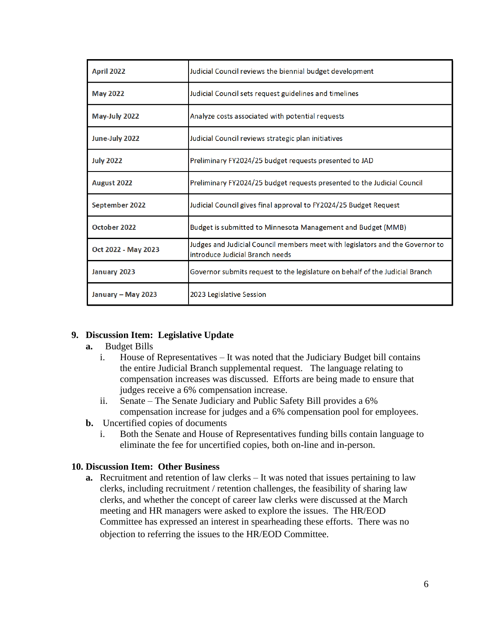| <b>April 2022</b>   | Judicial Council reviews the biennial budget development                                                         |
|---------------------|------------------------------------------------------------------------------------------------------------------|
| <b>May 2022</b>     | Judicial Council sets request guidelines and timelines                                                           |
| May-July 2022       | Analyze costs associated with potential requests                                                                 |
| June-July 2022      | Judicial Council reviews strategic plan initiatives                                                              |
| <b>July 2022</b>    | Preliminary FY2024/25 budget requests presented to JAD                                                           |
| August 2022         | Preliminary FY2024/25 budget requests presented to the Judicial Council                                          |
| September 2022      | Judicial Council gives final approval to FY2024/25 Budget Request                                                |
| October 2022        | Budget is submitted to Minnesota Management and Budget (MMB)                                                     |
| Oct 2022 - May 2023 | Judges and Judicial Council members meet with legislators and the Governor to<br>introduce Judicial Branch needs |
| January 2023        | Governor submits request to the legislature on behalf of the Judicial Branch                                     |
| January - May 2023  | 2023 Legislative Session                                                                                         |

#### **9. Discussion Item: Legislative Update**

- **a.** Budget Bills
	- i. House of Representatives It was noted that the Judiciary Budget bill contains the entire Judicial Branch supplemental request. The language relating to compensation increases was discussed. Efforts are being made to ensure that judges receive a 6% compensation increase.
	- ii. Senate The Senate Judiciary and Public Safety Bill provides a 6% compensation increase for judges and a 6% compensation pool for employees.
- **b.** Uncertified copies of documents
	- i. Both the Senate and House of Representatives funding bills contain language to eliminate the fee for uncertified copies, both on-line and in-person.

#### **10. Discussion Item: Other Business**

**a.** Recruitment and retention of law clerks – It was noted that issues pertaining to law clerks, including recruitment / retention challenges, the feasibility of sharing law clerks, and whether the concept of career law clerks were discussed at the March meeting and HR managers were asked to explore the issues. The HR/EOD Committee has expressed an interest in spearheading these efforts. There was no objection to referring the issues to the HR/EOD Committee.